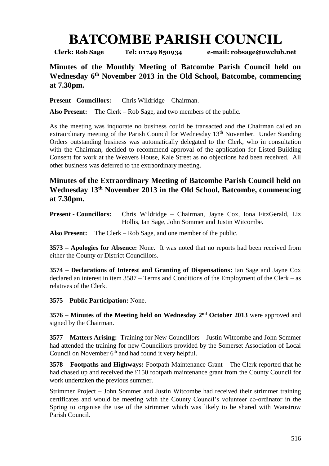## **BATCOMBE PARISH COUNCIL**

**Clerk: Rob Sage Tel: 01749 850934 e-mail: robsage@uwclub.net**

**Minutes of the Monthly Meeting of Batcombe Parish Council held on Wednesday 6 th November 2013 in the Old School, Batcombe, commencing at 7.30pm.**

**Present - Councillors:** Chris Wildridge – Chairman.

**Also Present:** The Clerk – Rob Sage, and two members of the public.

As the meeting was inquorate no business could be transacted and the Chairman called an extraordinary meeting of the Parish Council for Wednesday 13<sup>th</sup> November. Under Standing Orders outstanding business was automatically delegated to the Clerk, who in consultation with the Chairman, decided to recommend approval of the application for Listed Building Consent for work at the Weavers House, Kale Street as no objections had been received. All other business was deferred to the extraordinary meeting.

## **Minutes of the Extraordinary Meeting of Batcombe Parish Council held on Wednesday 13th November 2013 in the Old School, Batcombe, commencing at 7.30pm.**

**Present - Councillors:** Chris Wildridge – Chairman, Jayne Cox, Iona FitzGerald, Liz Hollis, Ian Sage, John Sommer and Justin Witcombe.

**Also Present:** The Clerk – Rob Sage, and one member of the public.

**3573 – Apologies for Absence:** None. It was noted that no reports had been received from either the County or District Councillors.

**3574 – Declarations of Interest and Granting of Dispensations:** Ian Sage and Jayne Cox declared an interest in item 3587 – Terms and Conditions of the Employment of the Clerk – as relatives of the Clerk.

**3575 – Public Participation:** None.

**3576** – **Minutes of the Meeting held on Wednesday 2<sup>nd</sup> October 2013** were approved and signed by the Chairman.

**3577 – Matters Arising:** Training for New Councillors – Justin Witcombe and John Sommer had attended the training for new Councillors provided by the Somerset Association of Local Council on November  $6<sup>th</sup>$  and had found it very helpful.

**3578 – Footpaths and Highways:** Footpath Maintenance Grant – The Clerk reported that he had chased up and received the £150 footpath maintenance grant from the County Council for work undertaken the previous summer.

Strimmer Project – John Sommer and Justin Witcombe had received their strimmer training certificates and would be meeting with the County Council's volunteer co-ordinator in the Spring to organise the use of the strimmer which was likely to be shared with Wanstrow Parish Council.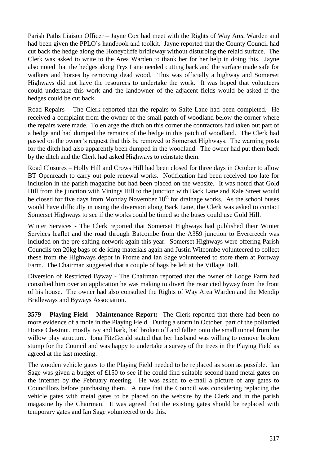Parish Paths Liaison Officer – Jayne Cox had meet with the Rights of Way Area Warden and had been given the PPLO's handbook and toolkit. Jayne reported that the County Council had cut back the hedge along the Honeycliffe bridleway without disturbing the relaid surface. The Clerk was asked to write to the Area Warden to thank her for her help in doing this. Jayne also noted that the hedges along Frys Lane needed cutting back and the surface made safe for walkers and horses by removing dead wood. This was officially a highway and Somerset Highways did not have the resources to undertake the work. It was hoped that volunteers could undertake this work and the landowner of the adjacent fields would be asked if the hedges could be cut back.

Road Repairs – The Clerk reported that the repairs to Saite Lane had been completed. He received a complaint from the owner of the small patch of woodland below the corner where the repairs were made. To enlarge the ditch on this corner the contractors had taken out part of a hedge and had dumped the remains of the hedge in this patch of woodland. The Clerk had passed on the owner's request that this be removed to Somerset Highways. The warning posts for the ditch had also apparently been dumped in the woodland. The owner had put them back by the ditch and the Clerk had asked Highways to reinstate them.

Road Closures – Holly Hill and Crows Hill had been closed for three days in October to allow BT Openreach to carry out pole renewal works. Notification had been received too late for inclusion in the parish magazine but had been placed on the website. It was noted that Gold Hill from the junction with Vinings Hill to the junction with Back Lane and Kale Street would be closed for five days from Monday November 18<sup>th</sup> for drainage works. As the school buses would have difficulty in using the diversion along Back Lane, the Clerk was asked to contact Somerset Highways to see if the works could be timed so the buses could use Gold Hill.

Winter Services - The Clerk reported that Somerset Highways had published their Winter Services leaflet and the road through Batcombe from the A359 junction to Evercreech was included on the pre-salting network again this year. Somerset Highways were offering Parish Councils ten 20kg bags of de-icing materials again and Justin Witcombe volunteered to collect these from the Highways depot in Frome and Ian Sage volunteered to store them at Portway Farm. The Chairman suggested that a couple of bags be left at the Village Hall.

Diversion of Restricted Byway - The Chairman reported that the owner of Lodge Farm had consulted him over an application he was making to divert the restricted byway from the front of his house. The owner had also consulted the Rights of Way Area Warden and the Mendip Bridleways and Byways Association.

**3579 – Playing Field – Maintenance Report:** The Clerk reported that there had been no more evidence of a mole in the Playing Field. During a storm in October, part of the pollarded Horse Chestnut, mostly ivy and bark, had broken off and fallen onto the small tunnel from the willow play structure. Iona FitzGerald stated that her husband was willing to remove broken stump for the Council and was happy to undertake a survey of the trees in the Playing Field as agreed at the last meeting.

The wooden vehicle gates to the Playing Field needed to be replaced as soon as possible. Ian Sage was given a budget of £150 to see if he could find suitable second hand metal gates on the internet by the February meeting. He was asked to e-mail a picture of any gates to Councillors before purchasing them. A note that the Council was considering replacing the vehicle gates with metal gates to be placed on the website by the Clerk and in the parish magazine by the Chairman. It was agreed that the existing gates should be replaced with temporary gates and Ian Sage volunteered to do this.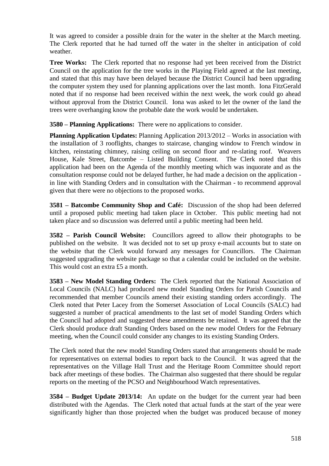It was agreed to consider a possible drain for the water in the shelter at the March meeting. The Clerk reported that he had turned off the water in the shelter in anticipation of cold weather.

**Tree Works:** The Clerk reported that no response had yet been received from the District Council on the application for the tree works in the Playing Field agreed at the last meeting, and stated that this may have been delayed because the District Council had been upgrading the computer system they used for planning applications over the last month. Iona FitzGerald noted that if no response had been received within the next week, the work could go ahead without approval from the District Council. Iona was asked to let the owner of the land the trees were overhanging know the probable date the work would be undertaken.

**3580 – Planning Applications:** There were no applications to consider.

**Planning Application Updates:** Planning Application 2013/2012 – Works in association with the installation of 3 rooflights, changes to staircase, changing window to French window in kitchen, reinstating chimney, raising ceiling on second floor and re-slating roof. Weavers House, Kale Street, Batcombe – Listed Building Consent. The Clerk noted that this application had been on the Agenda of the monthly meeting which was inquorate and as the consultation response could not be delayed further, he had made a decision on the application in line with Standing Orders and in consultation with the Chairman - to recommend approval given that there were no objections to the proposed works.

**3581 – Batcombe Community Shop and Café:** Discussion of the shop had been deferred until a proposed public meeting had taken place in October. This public meeting had not taken place and so discussion was deferred until a public meeting had been held.

**3582 – Parish Council Website:** Councillors agreed to allow their photographs to be published on the website. It was decided not to set up proxy e-mail accounts but to state on the website that the Clerk would forward any messages for Councillors. The Chairman suggested upgrading the website package so that a calendar could be included on the website. This would cost an extra £5 a month.

**3583 – New Model Standing Orders:** The Clerk reported that the National Association of Local Councils (NALC) had produced new model Standing Orders for Parish Councils and recommended that member Councils amend their existing standing orders accordingly. The Clerk noted that Peter Lacey from the Somerset Association of Local Councils (SALC) had suggested a number of practical amendments to the last set of model Standing Orders which the Council had adopted and suggested these amendments be retained. It was agreed that the Clerk should produce draft Standing Orders based on the new model Orders for the February meeting, when the Council could consider any changes to its existing Standing Orders.

The Clerk noted that the new model Standing Orders stated that arrangements should be made for representatives on external bodies to report back to the Council. It was agreed that the representatives on the Village Hall Trust and the Heritage Room Committee should report back after meetings of these bodies. The Chairman also suggested that there should be regular reports on the meeting of the PCSO and Neighbourhood Watch representatives.

**3584 – Budget Update 2013/14:** An update on the budget for the current year had been distributed with the Agendas. The Clerk noted that actual funds at the start of the year were significantly higher than those projected when the budget was produced because of money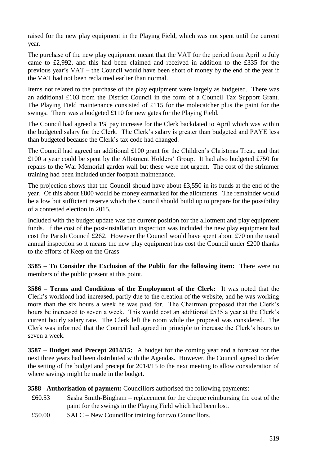raised for the new play equipment in the Playing Field, which was not spent until the current year.

The purchase of the new play equipment meant that the VAT for the period from April to July came to £2,992, and this had been claimed and received in addition to the £335 for the previous year's VAT – the Council would have been short of money by the end of the year if the VAT had not been reclaimed earlier than normal.

Items not related to the purchase of the play equipment were largely as budgeted. There was an additional £103 from the District Council in the form of a Council Tax Support Grant. The Playing Field maintenance consisted of £115 for the molecatcher plus the paint for the swings. There was a budgeted £110 for new gates for the Playing Field.

The Council had agreed a 1% pay increase for the Clerk backdated to April which was within the budgeted salary for the Clerk. The Clerk's salary is greater than budgeted and PAYE less than budgeted because the Clerk's tax code had changed.

The Council had agreed an additional £100 grant for the Children's Christmas Treat, and that £100 a year could be spent by the Allotment Holders' Group. It had also budgeted £750 for repairs to the War Memorial garden wall but these were not urgent. The cost of the strimmer training had been included under footpath maintenance.

The projection shows that the Council should have about £3,550 in its funds at the end of the year. Of this about £800 would be money earmarked for the allotments. The remainder would be a low but sufficient reserve which the Council should build up to prepare for the possibility of a contested election in 2015.

Included with the budget update was the current position for the allotment and play equipment funds. If the cost of the post-installation inspection was included the new play equipment had cost the Parish Council £262. However the Council would have spent about £70 on the usual annual inspection so it means the new play equipment has cost the Council under £200 thanks to the efforts of Keep on the Grass

**3585 – To Consider the Exclusion of the Public for the following item:** There were no members of the public present at this point.

**3586 – Terms and Conditions of the Employment of the Clerk:** It was noted that the Clerk's workload had increased, partly due to the creation of the website, and he was working more than the six hours a week he was paid for. The Chairman proposed that the Clerk's hours be increased to seven a week. This would cost an additional £535 a year at the Clerk's current hourly salary rate. The Clerk left the room while the proposal was considered. The Clerk was informed that the Council had agreed in principle to increase the Clerk's hours to seven a week.

**3587 – Budget and Precept 2014/15:** A budget for the coming year and a forecast for the next three years had been distributed with the Agendas. However, the Council agreed to defer the setting of the budget and precept for 2014/15 to the next meeting to allow consideration of where savings might be made in the budget.

**3588 - Authorisation of payment:** Councillors authorised the following payments:

- £60.53 Sasha Smith-Bingham replacement for the cheque reimbursing the cost of the paint for the swings in the Playing Field which had been lost.
- £50.00 SALC New Councillor training for two Councillors.